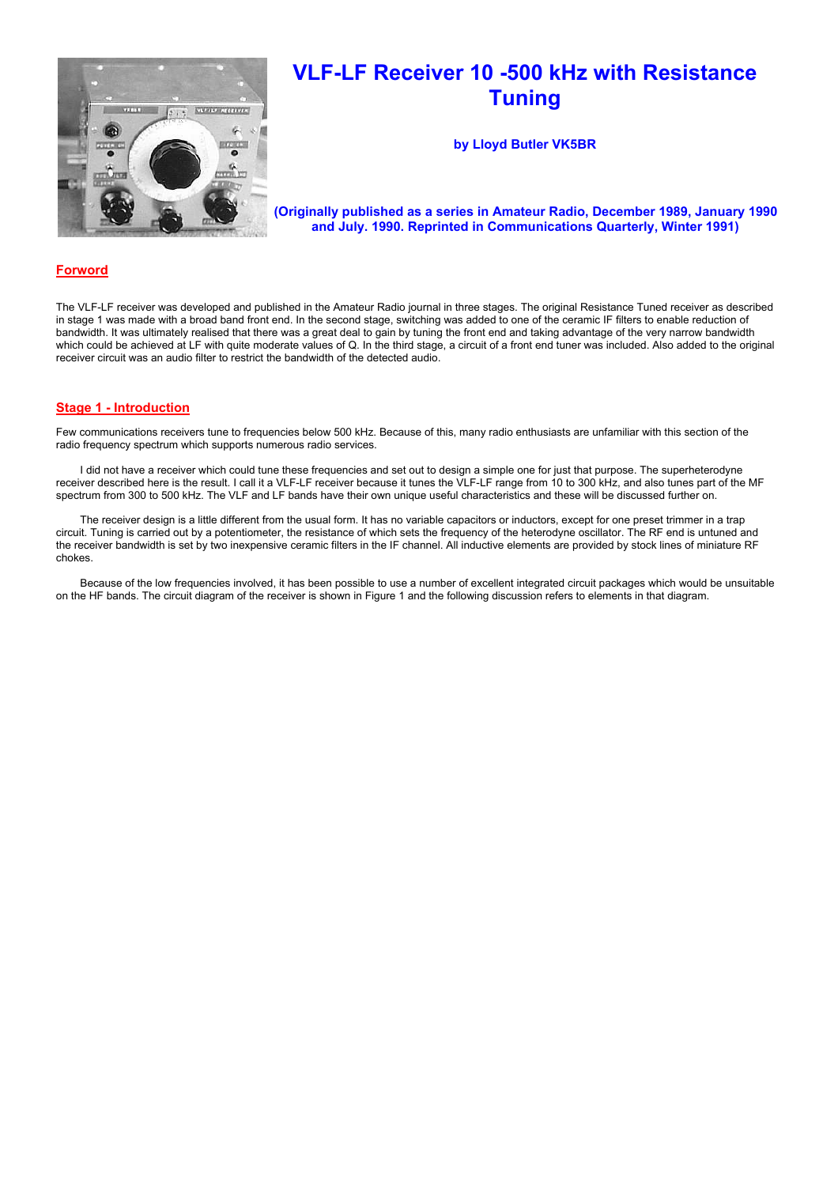

# VLF-LF Receiver 10 -500 kHz with Resistance **Tuning**

by Lloyd Butler VK5BR

(Originally published as a series in Amateur Radio, December 1989, January 1990 and July. 1990. Reprinted in Communications Quarterly, Winter 1991)

# **Forword**

The VLF-LF receiver was developed and published in the Amateur Radio journal in three stages. The original Resistance Tuned receiver as described in stage 1 was made with a broad band front end. In the second stage, switching was added to one of the ceramic IF filters to enable reduction of bandwidth. It was ultimately realised that there was a great deal to gain by tuning the front end and taking advantage of the very narrow bandwidth which could be achieved at LF with quite moderate values of Q. In the third stage, a circuit of a front end tuner was included. Also added to the original receiver circuit was an audio filter to restrict the bandwidth of the detected audio.

# Stage 1 - Introduction

Few communications receivers tune to frequencies below 500 kHz. Because of this, many radio enthusiasts are unfamiliar with this section of the radio frequency spectrum which supports numerous radio services.

 I did not have a receiver which could tune these frequencies and set out to design a simple one for just that purpose. The superheterodyne receiver described here is the result. I call it a VLF-LF receiver because it tunes the VLF-LF range from 10 to 300 kHz, and also tunes part of the MF spectrum from 300 to 500 kHz. The VLF and LF bands have their own unique useful characteristics and these will be discussed further on.

 The receiver design is a little different from the usual form. It has no variable capacitors or inductors, except for one preset trimmer in a trap circuit. Tuning is carried out by a potentiometer, the resistance of which sets the frequency of the heterodyne oscillator. The RF end is untuned and the receiver bandwidth is set by two inexpensive ceramic filters in the IF channel. All inductive elements are provided by stock lines of miniature RF chokes.

 Because of the low frequencies involved, it has been possible to use a number of excellent integrated circuit packages which would be unsuitable on the HF bands. The circuit diagram of the receiver is shown in Figure 1 and the following discussion refers to elements in that diagram.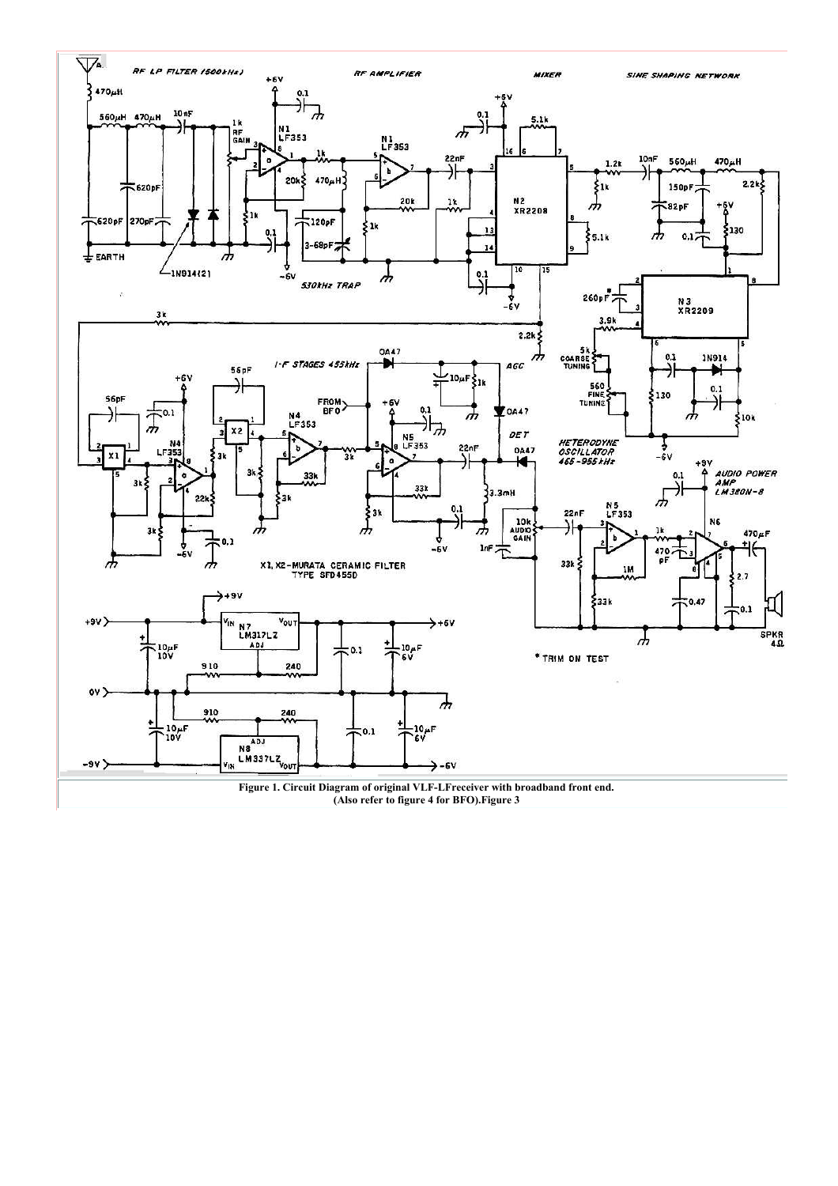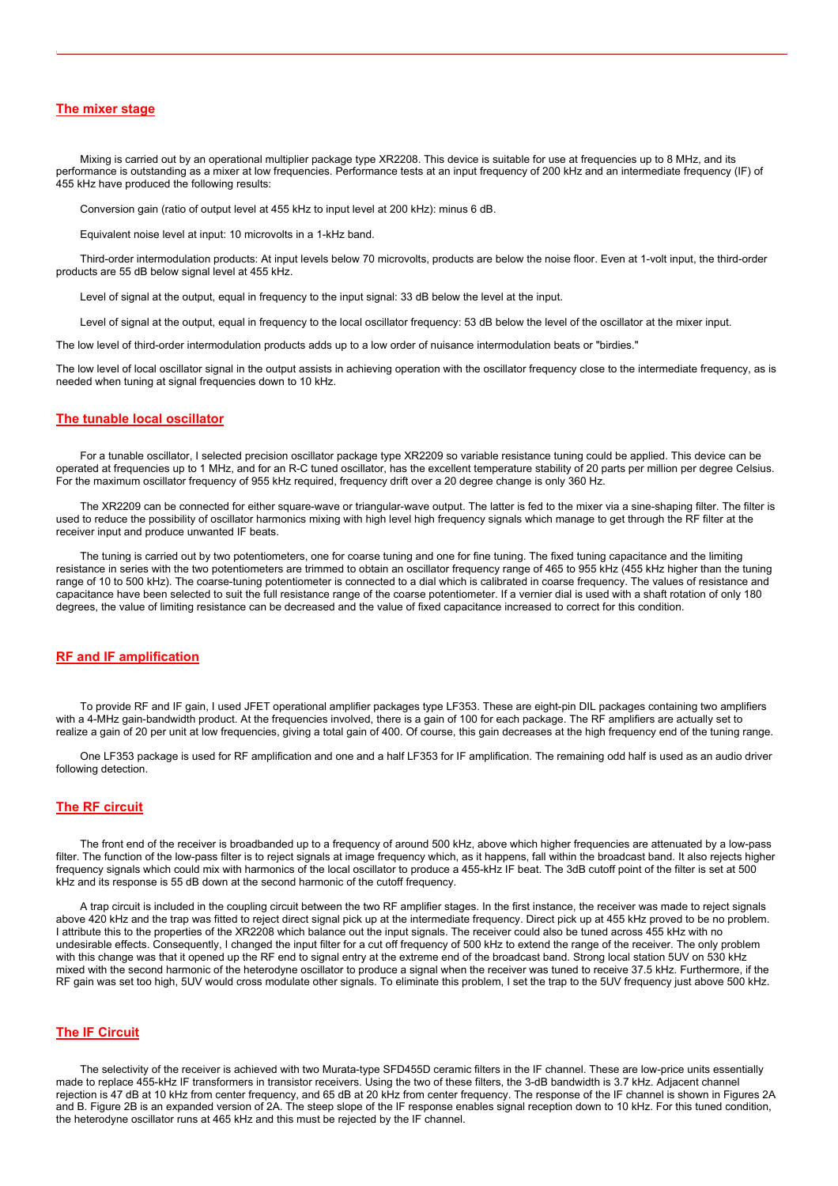## **The mixer stage**

 Mixing is carried out by an operational multiplier package type XR2208. This device is suitable for use at frequencies up to 8 MHz, and its performance is outstanding as a mixer at low frequencies. Performance tests at an input frequency of 200 kHz and an intermediate frequency (IF) of 455 kHz have produced the following results:

Conversion gain (ratio of output level at 455 kHz to input level at 200 kHz): minus 6 dB.

Equivalent noise level at input: 10 microvolts in a 1-kHz band.

 Third-order intermodulation products: At input levels below 70 microvolts, products are below the noise floor. Even at 1-volt input, the third-order products are 55 dB below signal level at 455 kHz.

Level of signal at the output, equal in frequency to the input signal: 33 dB below the level at the input.

Level of signal at the output, equal in frequency to the local oscillator frequency: 53 dB below the level of the oscillator at the mixer input.

The low level of third-order intermodulation products adds up to a low order of nuisance intermodulation beats or "birdies."

The low level of local oscillator signal in the output assists in achieving operation with the oscillator frequency close to the intermediate frequency, as is needed when tuning at signal frequencies down to 10 kHz.

#### The tunable local oscillator

 For a tunable oscillator, I selected precision oscillator package type XR2209 so variable resistance tuning could be applied. This device can be operated at frequencies up to 1 MHz, and for an R-C tuned oscillator, has the excellent temperature stability of 20 parts per million per degree Celsius. For the maximum oscillator frequency of 955 kHz required, frequency drift over a 20 degree change is only 360 Hz.

 The XR2209 can be connected for either square-wave or triangular-wave output. The latter is fed to the mixer via a sine-shaping filter. The filter is used to reduce the possibility of oscillator harmonics mixing with high level high frequency signals which manage to get through the RF filter at the receiver input and produce unwanted IF beats.

 The tuning is carried out by two potentiometers, one for coarse tuning and one for fine tuning. The fixed tuning capacitance and the limiting resistance in series with the two potentiometers are trimmed to obtain an oscillator frequency range of 465 to 955 kHz (455 kHz higher than the tuning range of 10 to 500 kHz). The coarse-tuning potentiometer is connected to a dial which is calibrated in coarse frequency. The values of resistance and capacitance have been selected to suit the full resistance range of the coarse potentiometer. If a vernier dial is used with a shaft rotation of only 180 degrees, the value of limiting resistance can be decreased and the value of fixed capacitance increased to correct for this condition.

#### RF and IF amplification

 To provide RF and IF gain, I used JFET operational amplifier packages type LF353. These are eight-pin DIL packages containing two amplifiers with a 4-MHz gain-bandwidth product. At the frequencies involved, there is a gain of 100 for each package. The RF amplifiers are actually set to realize a gain of 20 per unit at low frequencies, giving a total gain of 400. Of course, this gain decreases at the high frequency end of the tuning range.

 One LF353 package is used for RF amplification and one and a half LF353 for IF amplification. The remaining odd half is used as an audio driver following detection.

#### The RF circuit

 The front end of the receiver is broadbanded up to a frequency of around 500 kHz, above which higher frequencies are attenuated by a low-pass filter. The function of the low-pass filter is to reject signals at image frequency which, as it happens, fall within the broadcast band. It also rejects higher frequency signals which could mix with harmonics of the local oscillator to produce a 455-kHz IF beat. The 3dB cutoff point of the filter is set at 500 kHz and its response is 55 dB down at the second harmonic of the cutoff frequency.

 A trap circuit is included in the coupling circuit between the two RF amplifier stages. In the first instance, the receiver was made to reject signals above 420 kHz and the trap was fitted to reject direct signal pick up at the intermediate frequency. Direct pick up at 455 kHz proved to be no problem. I attribute this to the properties of the XR2208 which balance out the input signals. The receiver could also be tuned across 455 kHz with no undesirable effects. Consequently, I changed the input filter for a cut off frequency of 500 kHz to extend the range of the receiver. The only problem with this change was that it opened up the RF end to signal entry at the extreme end of the broadcast band. Strong local station 5UV on 530 kHz mixed with the second harmonic of the heterodyne oscillator to produce a signal when the receiver was tuned to receive 37.5 kHz. Furthermore, if the RF gain was set too high, 5UV would cross modulate other signals. To eliminate this problem, I set the trap to the 5UV frequency just above 500 kHz.

# The IF Circuit

 The selectivity of the receiver is achieved with two Murata-type SFD455D ceramic filters in the IF channel. These are low-price units essentially made to replace 455-kHz IF transformers in transistor receivers. Using the two of these filters, the 3-dB bandwidth is 3.7 kHz. Adjacent channel rejection is 47 dB at 10 kHz from center frequency, and 65 dB at 20 kHz from center frequency. The response of the IF channel is shown in Figures 2A and B. Figure 2B is an expanded version of 2A. The steep slope of the IF response enables signal reception down to 10 kHz. For this tuned condition, the heterodyne oscillator runs at 465 kHz and this must be rejected by the IF channel.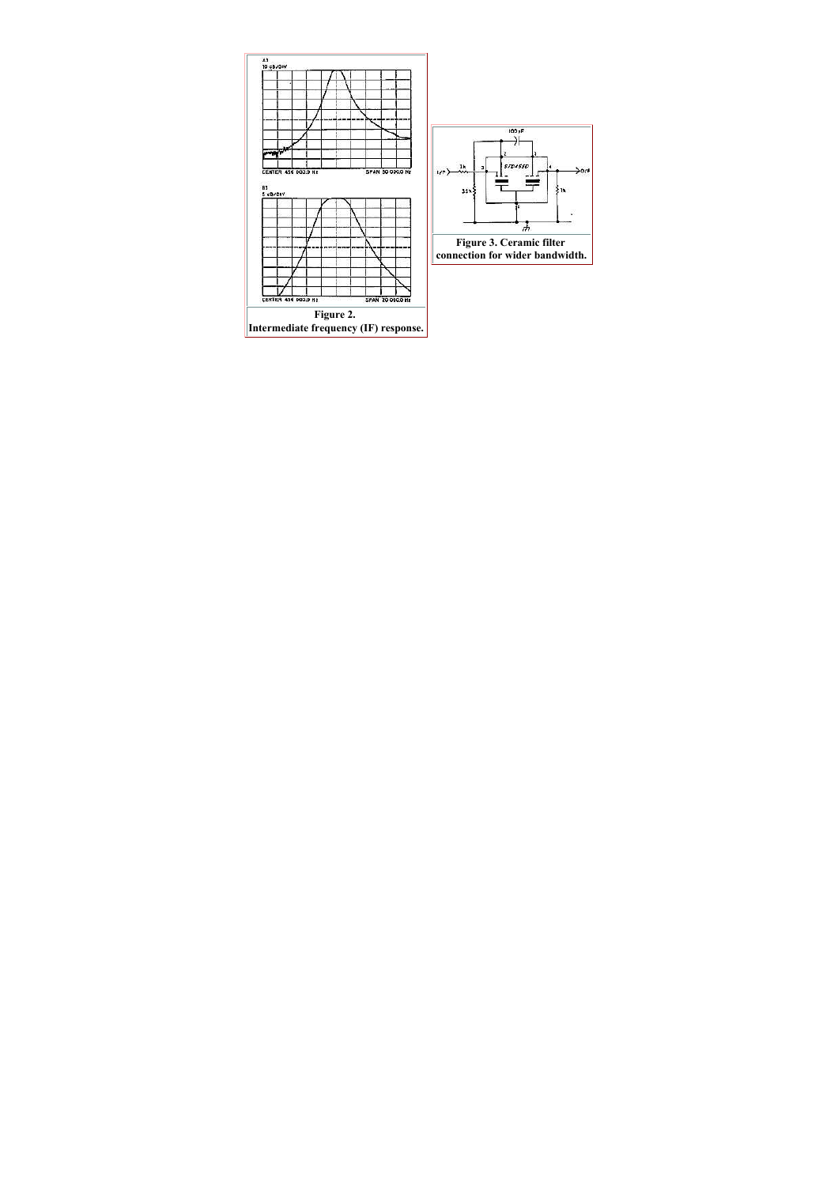|                     |   |  |  |                  | n |
|---------------------|---|--|--|------------------|---|
|                     | w |  |  |                  |   |
|                     |   |  |  |                  |   |
|                     |   |  |  |                  |   |
|                     |   |  |  |                  |   |
| CENTER 456 000.0 Hz |   |  |  | SPAN 50 000.0 Hz |   |
| 81<br>5 dB/DIV      |   |  |  |                  |   |
|                     |   |  |  |                  |   |
|                     |   |  |  |                  |   |
|                     |   |  |  |                  |   |
|                     |   |  |  |                  |   |
|                     |   |  |  |                  |   |
|                     |   |  |  |                  |   |
|                     |   |  |  |                  |   |
|                     |   |  |  |                  |   |
|                     |   |  |  |                  |   |
|                     |   |  |  |                  |   |
|                     |   |  |  |                  |   |

Figure 2. Intermediate frequency (IF) response.

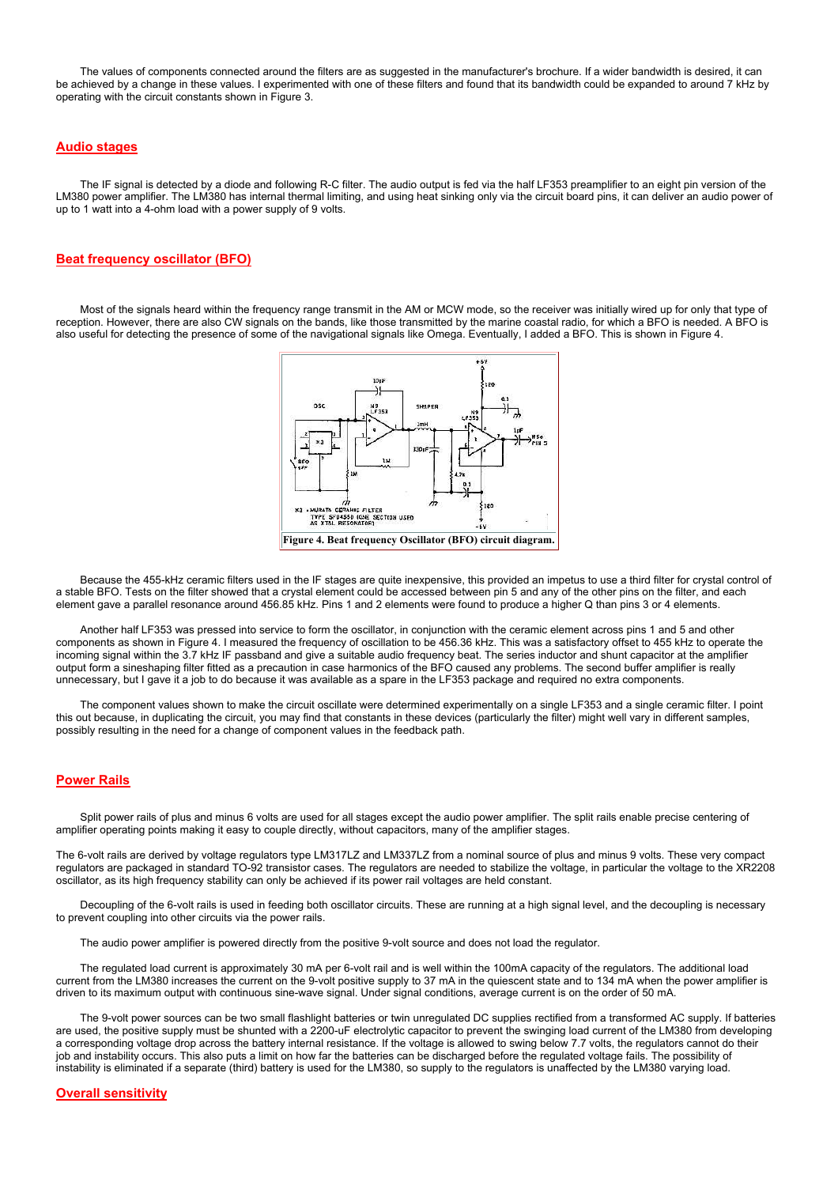The values of components connected around the filters are as suggested in the manufacturer's brochure. If a wider bandwidth is desired, it can be achieved by a change in these values. I experimented with one of these filters and found that its bandwidth could be expanded to around 7 kHz by operating with the circuit constants shown in Figure 3.

# Audio stages

The IF signal is detected by a diode and following R-C filter. The audio output is fed via the half LF353 preamplifier to an eight pin version of the LM380 power amplifier. The LM380 has internal thermal limiting, and using heat sinking only via the circuit board pins, it can deliver an audio power of up to 1 watt into a 4-ohm load with a power supply of 9 volts.

## Beat frequency oscillator (BFO)

 Most of the signals heard within the frequency range transmit in the AM or MCW mode, so the receiver was initially wired up for only that type of reception. However, there are also CW signals on the bands, like those transmitted by the marine coastal radio, for which a BFO is needed. A BFO is also useful for detecting the presence of some of the navigational signals like Omega. Eventually, I added a BFO. This is shown in Figure 4.



 Because the 455-kHz ceramic filters used in the IF stages are quite inexpensive, this provided an impetus to use a third filter for crystal control of a stable BFO. Tests on the filter showed that a crystal element could be accessed between pin 5 and any of the other pins on the filter, and each element gave a parallel resonance around 456.85 kHz. Pins 1 and 2 elements were found to produce a higher Q than pins 3 or 4 elements.

 Another half LF353 was pressed into service to form the oscillator, in conjunction with the ceramic element across pins 1 and 5 and other components as shown in Figure 4. I measured the frequency of oscillation to be 456.36 kHz. This was a satisfactory offset to 455 kHz to operate the incoming signal within the 3.7 kHz IF passband and give a suitable audio frequency beat. The series inductor and shunt capacitor at the amplifier output form a sineshaping filter fitted as a precaution in case harmonics of the BFO caused any problems. The second buffer amplifier is really unnecessary, but I gave it a job to do because it was available as a spare in the LF353 package and required no extra components.

 The component values shown to make the circuit oscillate were determined experimentally on a single LF353 and a single ceramic filter. I point this out because, in duplicating the circuit, you may find that constants in these devices (particularly the filter) might well vary in different samples, possibly resulting in the need for a change of component values in the feedback path.

# Power Rails

 Split power rails of plus and minus 6 volts are used for all stages except the audio power amplifier. The split rails enable precise centering of amplifier operating points making it easy to couple directly, without capacitors, many of the amplifier stages.

The 6-volt rails are derived by voltage regulators type LM317LZ and LM337LZ from a nominal source of plus and minus 9 volts. These very compact regulators are packaged in standard TO-92 transistor cases. The regulators are needed to stabilize the voltage, in particular the voltage to the XR2208 oscillator, as its high frequency stability can only be achieved if its power rail voltages are held constant.

 Decoupling of the 6-volt rails is used in feeding both oscillator circuits. These are running at a high signal level, and the decoupling is necessary to prevent coupling into other circuits via the power rails.

The audio power amplifier is powered directly from the positive 9-volt source and does not load the regulator.

 The regulated load current is approximately 30 mA per 6-volt rail and is well within the 100mA capacity of the regulators. The additional load current from the LM380 increases the current on the 9-volt positive supply to 37 mA in the quiescent state and to 134 mA when the power amplifier is driven to its maximum output with continuous sine-wave signal. Under signal conditions, average current is on the order of 50 mA.

 The 9-volt power sources can be two small flashlight batteries or twin unregulated DC supplies rectified from a transformed AC supply. If batteries are used, the positive supply must be shunted with a 2200-uF electrolytic capacitor to prevent the swinging load current of the LM380 from developing a corresponding voltage drop across the battery internal resistance. If the voltage is allowed to swing below 7.7 volts, the regulators cannot do their job and instability occurs. This also puts a limit on how far the batteries can be discharged before the regulated voltage fails. The possibility of instability is eliminated if a separate (third) battery is used for the LM380, so supply to the regulators is unaffected by the LM380 varying load.

#### Overall sensitivity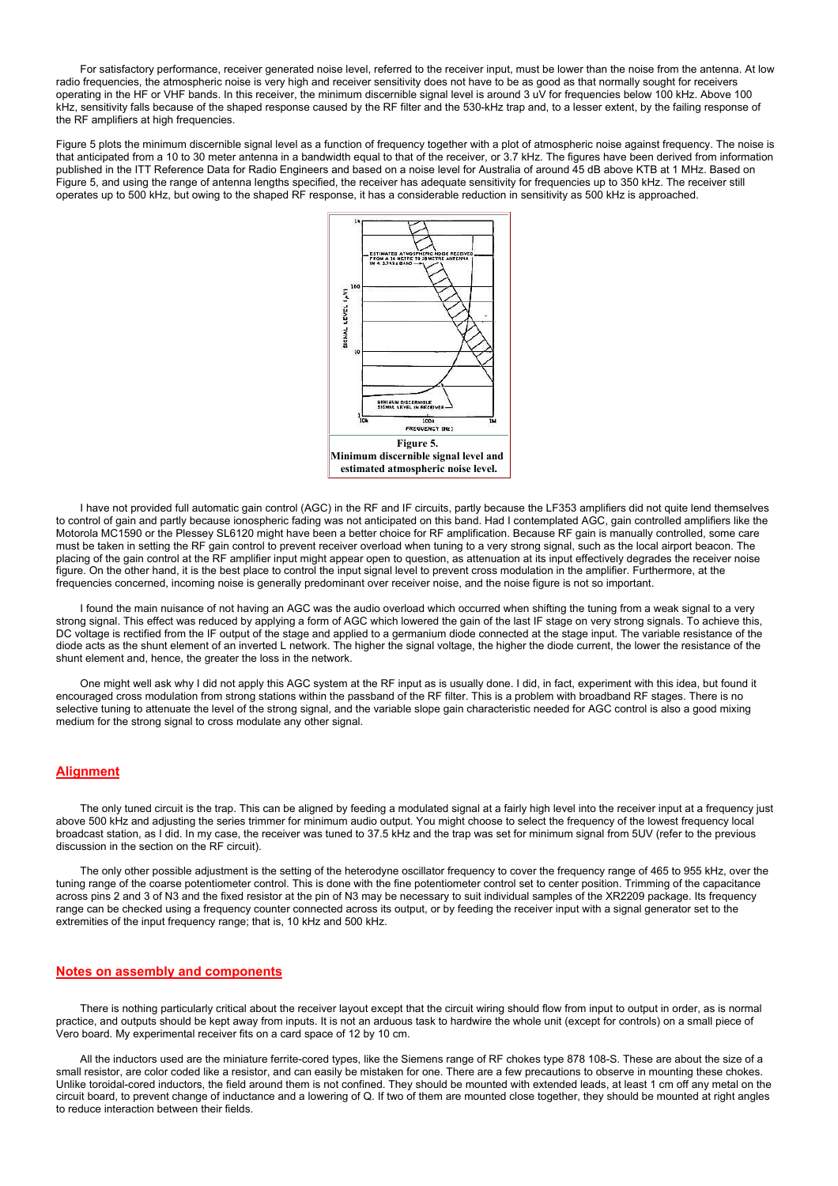For satisfactory performance, receiver generated noise level, referred to the receiver input, must be lower than the noise from the antenna. At low radio frequencies, the atmospheric noise is very high and receiver sensitivity does not have to be as good as that normally sought for receivers operating in the HF or VHF bands. In this receiver, the minimum discernible signal level is around 3 uV for frequencies below 100 kHz. Above 100 kHz, sensitivity falls because of the shaped response caused by the RF filter and the 530-kHz trap and, to a lesser extent, by the failing response of the RF amplifiers at high frequencies.

Figure 5 plots the minimum discernible signal level as a function of frequency together with a plot of atmospheric noise against frequency. The noise is that anticipated from a 10 to 30 meter antenna in a bandwidth equal to that of the receiver, or 3.7 kHz. The figures have been derived from information published in the ITT Reference Data for Radio Engineers and based on a noise level for Australia of around 45 dB above KTB at 1 MHz. Based on Figure 5, and using the range of antenna lengths specified, the receiver has adequate sensitivity for frequencies up to 350 kHz. The receiver still operates up to 500 kHz, but owing to the shaped RF response, it has a considerable reduction in sensitivity as 500 kHz is approached.



 I have not provided full automatic gain control (AGC) in the RF and IF circuits, partly because the LF353 amplifiers did not quite lend themselves to control of gain and partly because ionospheric fading was not anticipated on this band. Had I contemplated AGC, gain controlled amplifiers like the Motorola MC1590 or the Plessey SL6120 might have been a better choice for RF amplification. Because RF gain is manually controlled, some care must be taken in setting the RF gain control to prevent receiver overload when tuning to a very strong signal, such as the local airport beacon. The placing of the gain control at the RF amplifier input might appear open to question, as attenuation at its input effectively degrades the receiver noise figure. On the other hand, it is the best place to control the input signal level to prevent cross modulation in the amplifier. Furthermore, at the frequencies concerned, incoming noise is generally predominant over receiver noise, and the noise figure is not so important.

 I found the main nuisance of not having an AGC was the audio overload which occurred when shifting the tuning from a weak signal to a very strong signal. This effect was reduced by applying a form of AGC which lowered the gain of the last IF stage on very strong signals. To achieve this, DC voltage is rectified from the IF output of the stage and applied to a germanium diode connected at the stage input. The variable resistance of the diode acts as the shunt element of an inverted L network. The higher the signal voltage, the higher the diode current, the lower the resistance of the shunt element and, hence, the greater the loss in the network.

 One might well ask why I did not apply this AGC system at the RF input as is usually done. I did, in fact, experiment with this idea, but found it encouraged cross modulation from strong stations within the passband of the RF filter. This is a problem with broadband RF stages. There is no selective tuning to attenuate the level of the strong signal, and the variable slope gain characteristic needed for AGC control is also a good mixing medium for the strong signal to cross modulate any other signal.

# Alignment

The only tuned circuit is the trap. This can be aligned by feeding a modulated signal at a fairly high level into the receiver input at a frequency just above 500 kHz and adjusting the series trimmer for minimum audio output. You might choose to select the frequency of the lowest frequency local broadcast station, as I did. In my case, the receiver was tuned to 37.5 kHz and the trap was set for minimum signal from 5UV (refer to the previous discussion in the section on the RF circuit).

 The only other possible adjustment is the setting of the heterodyne oscillator frequency to cover the frequency range of 465 to 955 kHz, over the tuning range of the coarse potentiometer control. This is done with the fine potentiometer control set to center position. Trimming of the capacitance across pins 2 and 3 of N3 and the fixed resistor at the pin of N3 may be necessary to suit individual samples of the XR2209 package. Its frequency range can be checked using a frequency counter connected across its output, or by feeding the receiver input with a signal generator set to the extremities of the input frequency range; that is, 10 kHz and 500 kHz.

#### Notes on assembly and components

 There is nothing particularly critical about the receiver layout except that the circuit wiring should flow from input to output in order, as is normal practice, and outputs should be kept away from inputs. It is not an arduous task to hardwire the whole unit (except for controls) on a small piece of Vero board. My experimental receiver fits on a card space of 12 by 10 cm.

 All the inductors used are the miniature ferrite-cored types, like the Siemens range of RF chokes type 878 108-S. These are about the size of a small resistor, are color coded like a resistor, and can easily be mistaken for one. There are a few precautions to observe in mounting these chokes. Unlike toroidal-cored inductors, the field around them is not confined. They should be mounted with extended leads, at least 1 cm off any metal on the circuit board, to prevent change of inductance and a lowering of Q. If two of them are mounted close together, they should be mounted at right angles to reduce interaction between their fields.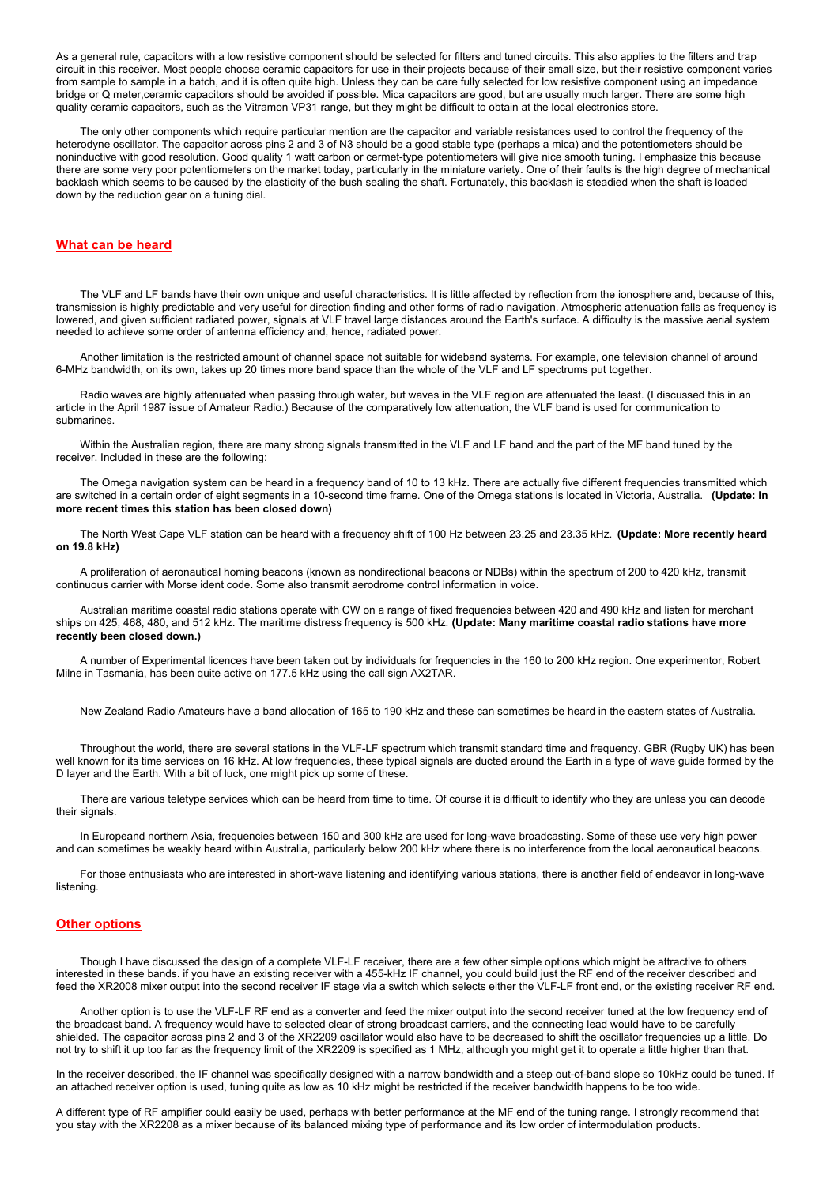As a general rule, capacitors with a low resistive component should be selected for filters and tuned circuits. This also applies to the filters and trap circuit in this receiver. Most people choose ceramic capacitors for use in their projects because of their small size, but their resistive component varies from sample to sample in a batch, and it is often quite high. Unless they can be care fully selected for low resistive component using an impedance bridge or Q meter,ceramic capacitors should be avoided if possible. Mica capacitors are good, but are usually much larger. There are some high quality ceramic capacitors, such as the Vitramon VP31 range, but they might be difficult to obtain at the local electronics store.

 The only other components which require particular mention are the capacitor and variable resistances used to control the frequency of the heterodyne oscillator. The capacitor across pins 2 and 3 of N3 should be a good stable type (perhaps a mica) and the potentiometers should be noninductive with good resolution. Good quality 1 watt carbon or cermet-type potentiometers will give nice smooth tuning. I emphasize this because there are some very poor potentiometers on the market today, particularly in the miniature variety. One of their faults is the high degree of mechanical backlash which seems to be caused by the elasticity of the bush sealing the shaft. Fortunately, this backlash is steadied when the shaft is loaded down by the reduction gear on a tuning dial.

## What can be heard

 The VLF and LF bands have their own unique and useful characteristics. It is little affected by reflection from the ionosphere and, because of this, transmission is highly predictable and very useful for direction finding and other forms of radio navigation. Atmospheric attenuation falls as frequency is lowered, and given sufficient radiated power, signals at VLF travel large distances around the Earth's surface. A difficulty is the massive aerial system needed to achieve some order of antenna efficiency and, hence, radiated power.

 Another limitation is the restricted amount of channel space not suitable for wideband systems. For example, one television channel of around 6-MHz bandwidth, on its own, takes up 20 times more band space than the whole of the VLF and LF spectrums put together.

 Radio waves are highly attenuated when passing through water, but waves in the VLF region are attenuated the least. (I discussed this in an article in the April 1987 issue of Amateur Radio.) Because of the comparatively low attenuation, the VLF band is used for communication to submarines.

 Within the Australian region, there are many strong signals transmitted in the VLF and LF band and the part of the MF band tuned by the receiver. Included in these are the following:

 The Omega navigation system can be heard in a frequency band of 10 to 13 kHz. There are actually five different frequencies transmitted which are switched in a certain order of eight segments in a 10-second time frame. One of the Omega stations is located in Victoria, Australia. (Update: In more recent times this station has been closed down)

The North West Cape VLF station can be heard with a frequency shift of 100 Hz between 23.25 and 23.35 kHz. (Update: More recently heard on 19.8 kHz)

 A proliferation of aeronautical homing beacons (known as nondirectional beacons or NDBs) within the spectrum of 200 to 420 kHz, transmit continuous carrier with Morse ident code. Some also transmit aerodrome control information in voice.

 Australian maritime coastal radio stations operate with CW on a range of fixed frequencies between 420 and 490 kHz and listen for merchant ships on 425, 468, 480, and 512 kHz. The maritime distress frequency is 500 kHz. (Update: Many maritime coastal radio stations have more recently been closed down.)

 A number of Experimental licences have been taken out by individuals for frequencies in the 160 to 200 kHz region. One experimentor, Robert Milne in Tasmania, has been quite active on 177.5 kHz using the call sign AX2TAR.

New Zealand Radio Amateurs have a band allocation of 165 to 190 kHz and these can sometimes be heard in the eastern states of Australia.

 Throughout the world, there are several stations in the VLF-LF spectrum which transmit standard time and frequency. GBR (Rugby UK) has been well known for its time services on 16 kHz. At low frequencies, these typical signals are ducted around the Earth in a type of wave guide formed by the D layer and the Earth. With a bit of luck, one might pick up some of these.

 There are various teletype services which can be heard from time to time. Of course it is difficult to identify who they are unless you can decode their signals.

 In Europeand northern Asia, frequencies between 150 and 300 kHz are used for long-wave broadcasting. Some of these use very high power and can sometimes be weakly heard within Australia, particularly below 200 kHz where there is no interference from the local aeronautical beacons.

 For those enthusiasts who are interested in short-wave listening and identifying various stations, there is another field of endeavor in long-wave listening.

# Other options

 Though I have discussed the design of a complete VLF-LF receiver, there are a few other simple options which might be attractive to others interested in these bands. if you have an existing receiver with a 455-kHz IF channel, you could build just the RF end of the receiver described and feed the XR2008 mixer output into the second receiver IF stage via a switch which selects either the VLF-LF front end, or the existing receiver RF end.

 Another option is to use the VLF-LF RF end as a converter and feed the mixer output into the second receiver tuned at the low frequency end of the broadcast band. A frequency would have to selected clear of strong broadcast carriers, and the connecting lead would have to be carefully shielded. The capacitor across pins 2 and 3 of the XR2209 oscillator would also have to be decreased to shift the oscillator frequencies up a little. Do not try to shift it up too far as the frequency limit of the XR2209 is specified as 1 MHz, although you might get it to operate a little higher than that.

In the receiver described, the IF channel was specifically designed with a narrow bandwidth and a steep out-of-band slope so 10kHz could be tuned. If an attached receiver option is used, tuning quite as low as 10 kHz might be restricted if the receiver bandwidth happens to be too wide.

A different type of RF amplifier could easily be used, perhaps with better performance at the MF end of the tuning range. I strongly recommend that you stay with the XR2208 as a mixer because of its balanced mixing type of performance and its low order of intermodulation products.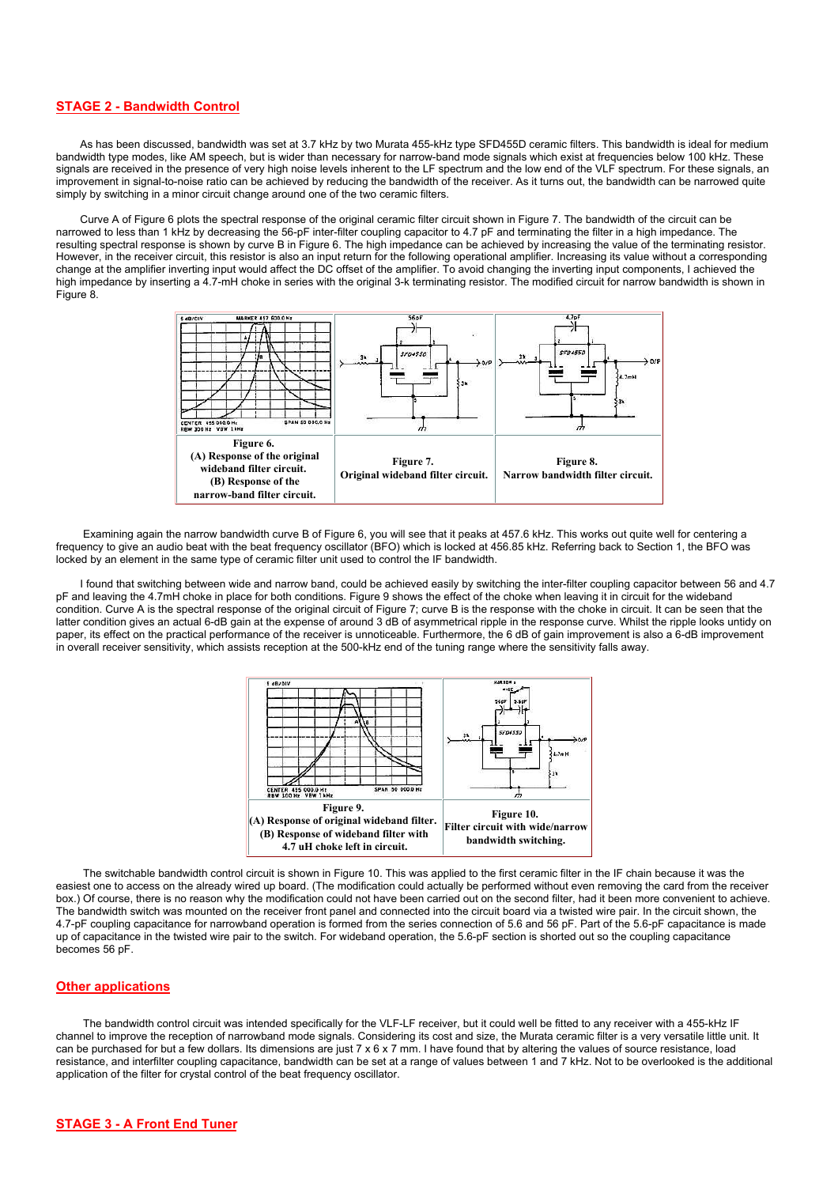# STAGE 2 - Bandwidth Control

 As has been discussed, bandwidth was set at 3.7 kHz by two Murata 455-kHz type SFD455D ceramic filters. This bandwidth is ideal for medium bandwidth type modes, like AM speech, but is wider than necessary for narrow-band mode signals which exist at frequencies below 100 kHz. These signals are received in the presence of very high noise levels inherent to the LF spectrum and the low end of the VLF spectrum. For these signals, an improvement in signal-to-noise ratio can be achieved by reducing the bandwidth of the receiver. As it turns out, the bandwidth can be narrowed quite simply by switching in a minor circuit change around one of the two ceramic filters.

 Curve A of Figure 6 plots the spectral response of the original ceramic filter circuit shown in Figure 7. The bandwidth of the circuit can be narrowed to less than 1 kHz by decreasing the 56-pF inter-filter coupling capacitor to 4.7 pF and terminating the filter in a high impedance. The resulting spectral response is shown by curve B in Figure 6. The high impedance can be achieved by increasing the value of the terminating resistor. However, in the receiver circuit, this resistor is also an input return for the following operational amplifier. Increasing its value without a corresponding change at the amplifier inverting input would affect the DC offset of the amplifier. To avoid changing the inverting input components, I achieved the high impedance by inserting a 4.7-mH choke in series with the original 3-k terminating resistor. The modified circuit for narrow bandwidth is shown in Figure 8.



 Examining again the narrow bandwidth curve B of Figure 6, you will see that it peaks at 457.6 kHz. This works out quite well for centering a frequency to give an audio beat with the beat frequency oscillator (BFO) which is locked at 456.85 kHz. Referring back to Section 1, the BFO was locked by an element in the same type of ceramic filter unit used to control the IF bandwidth.

 I found that switching between wide and narrow band, could be achieved easily by switching the inter-filter coupling capacitor between 56 and 4.7 pF and leaving the 4.7mH choke in place for both conditions. Figure 9 shows the effect of the choke when leaving it in circuit for the wideband condition. Curve A is the spectral response of the original circuit of Figure 7; curve B is the response with the choke in circuit. It can be seen that the latter condition gives an actual 6-dB gain at the expense of around 3 dB of asymmetrical ripple in the response curve. Whilst the ripple looks untidy on paper, its effect on the practical performance of the receiver is unnoticeable. Furthermore, the 6 dB of gain improvement is also a 6-dB improvement in overall receiver sensitivity, which assists reception at the 500-kHz end of the tuning range where the sensitivity falls away.



 The switchable bandwidth control circuit is shown in Figure 10. This was applied to the first ceramic filter in the IF chain because it was the easiest one to access on the already wired up board. (The modification could actually be performed without even removing the card from the receiver box.) Of course, there is no reason why the modification could not have been carried out on the second filter, had it been more convenient to achieve. The bandwidth switch was mounted on the receiver front panel and connected into the circuit board via a twisted wire pair. In the circuit shown, the 4.7-pF coupling capacitance for narrowband operation is formed from the series connection of 5.6 and 56 pF. Part of the 5.6-pF capacitance is made up of capacitance in the twisted wire pair to the switch. For wideband operation, the 5.6-pF section is shorted out so the coupling capacitance becomes 56 pF.

## Other applications

 The bandwidth control circuit was intended specifically for the VLF-LF receiver, but it could well be fitted to any receiver with a 455-kHz IF channel to improve the reception of narrowband mode signals. Considering its cost and size, the Murata ceramic filter is a very versatile little unit. It can be purchased for but a few dollars. Its dimensions are just 7 x 6 x 7 mm. I have found that by altering the values of source resistance, load resistance, and interfilter coupling capacitance, bandwidth can be set at a range of values between 1 and 7 kHz. Not to be overlooked is the additional application of the filter for crystal control of the beat frequency oscillator.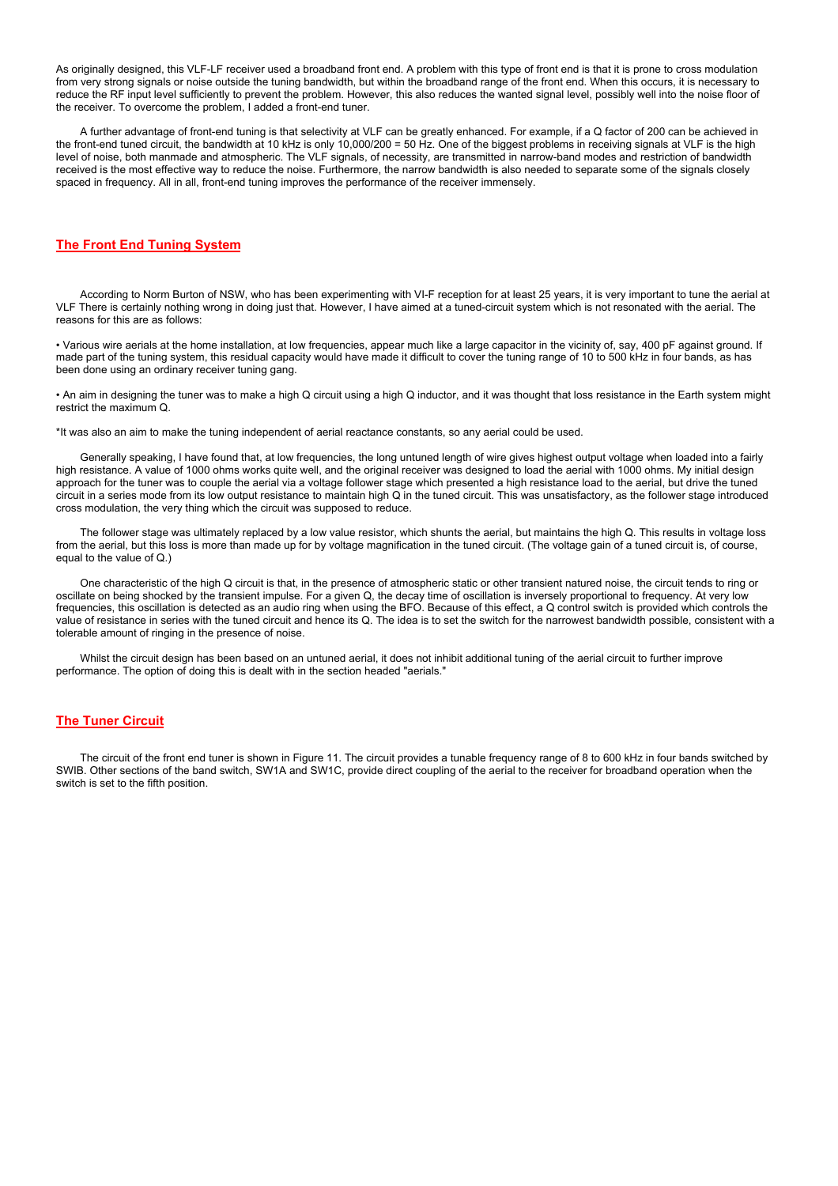As originally designed, this VLF-LF receiver used a broadband front end. A problem with this type of front end is that it is prone to cross modulation from very strong signals or noise outside the tuning bandwidth, but within the broadband range of the front end. When this occurs, it is necessary to reduce the RF input level sufficiently to prevent the problem. However, this also reduces the wanted signal level, possibly well into the noise floor of the receiver. To overcome the problem, I added a front-end tuner.

 A further advantage of front-end tuning is that selectivity at VLF can be greatly enhanced. For example, if a Q factor of 200 can be achieved in the front-end tuned circuit, the bandwidth at 10 kHz is only 10,000/200 = 50 Hz. One of the biggest problems in receiving signals at VLF is the high level of noise, both manmade and atmospheric. The VLF signals, of necessity, are transmitted in narrow-band modes and restriction of bandwidth received is the most effective way to reduce the noise. Furthermore, the narrow bandwidth is also needed to separate some of the signals closely spaced in frequency. All in all, front-end tuning improves the performance of the receiver immensely.

# The Front End Tuning System

 According to Norm Burton of NSW, who has been experimenting with VI-F reception for at least 25 years, it is very important to tune the aerial at VLF There is certainly nothing wrong in doing just that. However, I have aimed at a tuned-circuit system which is not resonated with the aerial. The reasons for this are as follows:

• Various wire aerials at the home installation, at low frequencies, appear much like a large capacitor in the vicinity of, say, 400 pF against ground. If made part of the tuning system, this residual capacity would have made it difficult to cover the tuning range of 10 to 500 kHz in four bands, as has been done using an ordinary receiver tuning gang.

• An aim in designing the tuner was to make a high Q circuit using a high Q inductor, and it was thought that loss resistance in the Earth system might restrict the maximum Q.

\*It was also an aim to make the tuning independent of aerial reactance constants, so any aerial could be used.

 Generally speaking, I have found that, at low frequencies, the long untuned length of wire gives highest output voltage when loaded into a fairly high resistance. A value of 1000 ohms works quite well, and the original receiver was designed to load the aerial with 1000 ohms. My initial design approach for the tuner was to couple the aerial via a voltage follower stage which presented a high resistance load to the aerial, but drive the tuned circuit in a series mode from its low output resistance to maintain high Q in the tuned circuit. This was unsatisfactory, as the follower stage introduced cross modulation, the very thing which the circuit was supposed to reduce.

 The follower stage was ultimately replaced by a low value resistor, which shunts the aerial, but maintains the high Q. This results in voltage loss from the aerial, but this loss is more than made up for by voltage magnification in the tuned circuit. (The voltage gain of a tuned circuit is, of course, equal to the value of Q.)

 One characteristic of the high Q circuit is that, in the presence of atmospheric static or other transient natured noise, the circuit tends to ring or oscillate on being shocked by the transient impulse. For a given Q, the decay time of oscillation is inversely proportional to frequency. At very low frequencies, this oscillation is detected as an audio ring when using the BFO. Because of this effect, a Q control switch is provided which controls the value of resistance in series with the tuned circuit and hence its Q. The idea is to set the switch for the narrowest bandwidth possible, consistent with a tolerable amount of ringing in the presence of noise.

 Whilst the circuit design has been based on an untuned aerial, it does not inhibit additional tuning of the aerial circuit to further improve performance. The option of doing this is dealt with in the section headed "aerials."

# The Tuner Circuit

 The circuit of the front end tuner is shown in Figure 11. The circuit provides a tunable frequency range of 8 to 600 kHz in four bands switched by SWIB. Other sections of the band switch, SW1A and SW1C, provide direct coupling of the aerial to the receiver for broadband operation when the switch is set to the fifth position.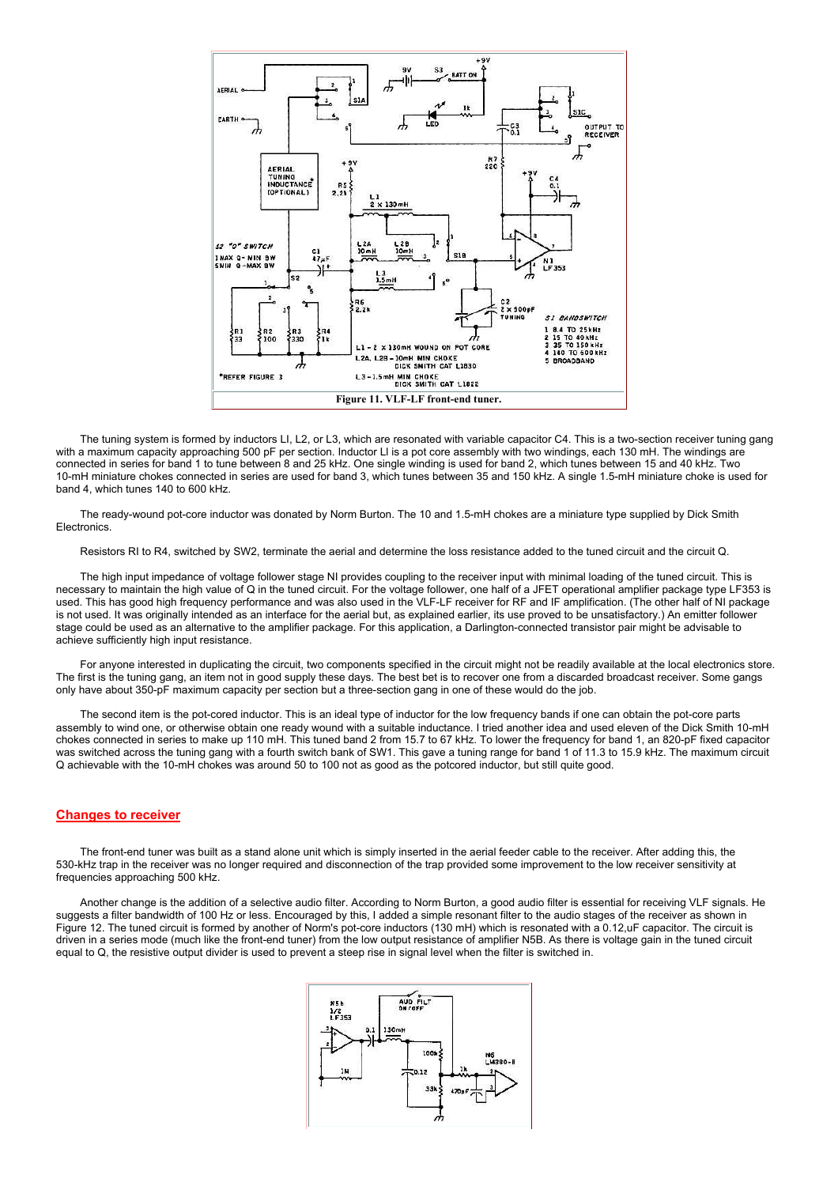

 The tuning system is formed by inductors LI, L2, or L3, which are resonated with variable capacitor C4. This is a two-section receiver tuning gang with a maximum capacity approaching 500 pF per section. Inductor LI is a pot core assembly with two windings, each 130 mH. The windings are connected in series for band 1 to tune between 8 and 25 kHz. One single winding is used for band 2, which tunes between 15 and 40 kHz. Two 10-mH miniature chokes connected in series are used for band 3, which tunes between 35 and 150 kHz. A single 1.5-mH miniature choke is used for band 4, which tunes 140 to 600 kHz.

 The ready-wound pot-core inductor was donated by Norm Burton. The 10 and 1.5-mH chokes are a miniature type supplied by Dick Smith **Electronics** 

Resistors RI to R4, switched by SW2, terminate the aerial and determine the loss resistance added to the tuned circuit and the circuit Q.

 The high input impedance of voltage follower stage NI provides coupling to the receiver input with minimal loading of the tuned circuit. This is necessary to maintain the high value of Q in the tuned circuit. For the voltage follower, one half of a JFET operational amplifier package type LF353 is used. This has good high frequency performance and was also used in the VLF-LF receiver for RF and IF amplification. (The other half of NI package is not used. It was originally intended as an interface for the aerial but, as explained earlier, its use proved to be unsatisfactory.) An emitter follower stage could be used as an alternative to the amplifier package. For this application, a Darlington-connected transistor pair might be advisable to achieve sufficiently high input resistance.

 For anyone interested in duplicating the circuit, two components specified in the circuit might not be readily available at the local electronics store. The first is the tuning gang, an item not in good supply these days. The best bet is to recover one from a discarded broadcast receiver. Some gangs only have about 350-pF maximum capacity per section but a three-section gang in one of these would do the job.

 The second item is the pot-cored inductor. This is an ideal type of inductor for the low frequency bands if one can obtain the pot-core parts assembly to wind one, or otherwise obtain one ready wound with a suitable inductance. I tried another idea and used eleven of the Dick Smith 10-mH chokes connected in series to make up 110 mH. This tuned band 2 from 15.7 to 67 kHz. To lower the frequency for band 1, an 820-pF fixed capacitor was switched across the tuning gang with a fourth switch bank of SW1. This gave a tuning range for band 1 of 11.3 to 15.9 kHz. The maximum circuit Q achievable with the 10-mH chokes was around 50 to 100 not as good as the potcored inductor, but still quite good.

# Changes to receiver

 The front-end tuner was built as a stand alone unit which is simply inserted in the aerial feeder cable to the receiver. After adding this, the 530-kHz trap in the receiver was no longer required and disconnection of the trap provided some improvement to the low receiver sensitivity at frequencies approaching 500 kHz.

 Another change is the addition of a selective audio filter. According to Norm Burton, a good audio filter is essential for receiving VLF signals. He suggests a filter bandwidth of 100 Hz or less. Encouraged by this, I added a simple resonant filter to the audio stages of the receiver as shown in Figure 12. The tuned circuit is formed by another of Norm's pot-core inductors (130 mH) which is resonated with a 0.12,uF capacitor. The circuit is driven in a series mode (much like the front-end tuner) from the low output resistance of amplifier N5B. As there is voltage gain in the tuned circuit equal to Q, the resistive output divider is used to prevent a steep rise in signal level when the filter is switched in.

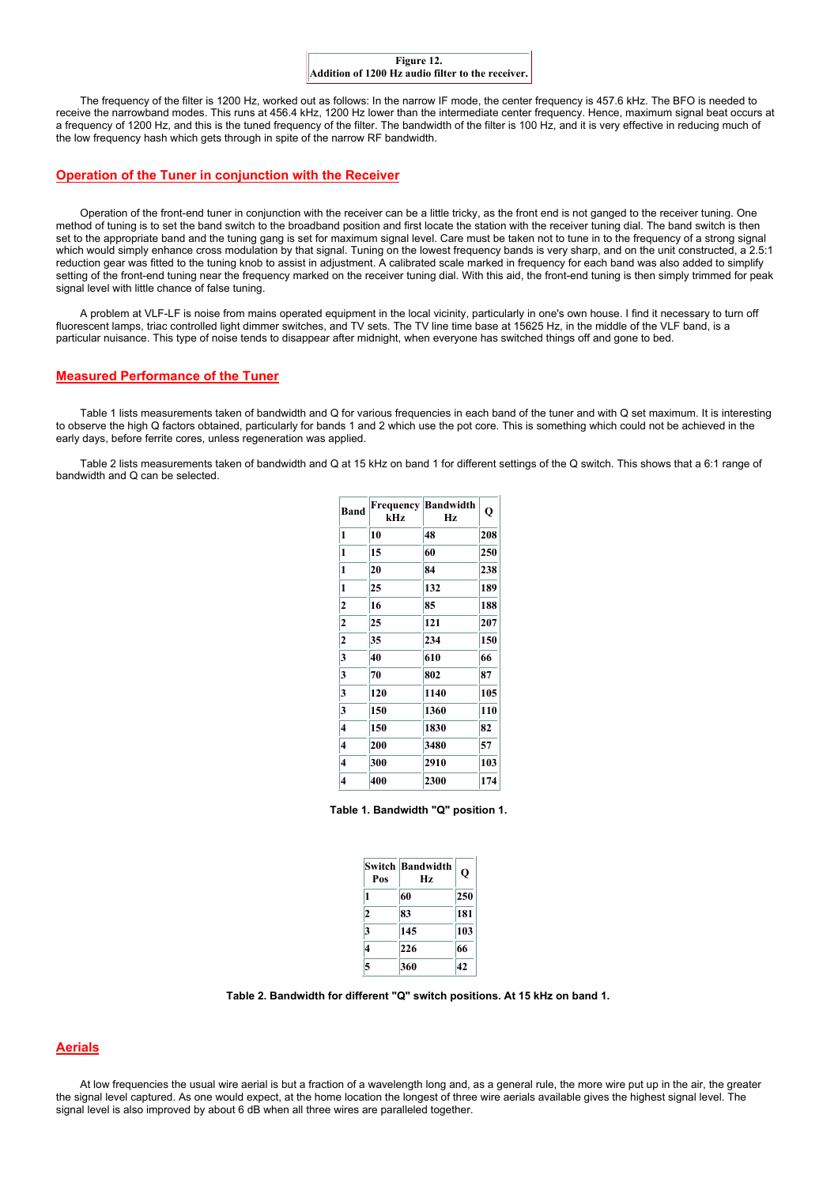

 The frequency of the filter is 1200 Hz, worked out as follows: In the narrow IF mode, the center frequency is 457.6 kHz. The BFO is needed to receive the narrowband modes. This runs at 456.4 kHz, 1200 Hz lower than the intermediate center frequency. Hence, maximum signal beat occurs at a frequency of 1200 Hz, and this is the tuned frequency of the filter. The bandwidth of the filter is 100 Hz, and it is very effective in reducing much of the low frequency hash which gets through in spite of the narrow RF bandwidth.

# Operation of the Tuner in conjunction with the Receiver

 Operation of the front-end tuner in conjunction with the receiver can be a little tricky, as the front end is not ganged to the receiver tuning. One method of tuning is to set the band switch to the broadband position and first locate the station with the receiver tuning dial. The band switch is then set to the appropriate band and the tuning gang is set for maximum signal level. Care must be taken not to tune in to the frequency of a strong signal which would simply enhance cross modulation by that signal. Tuning on the lowest frequency bands is very sharp, and on the unit constructed, a 2.5:1 reduction gear was fitted to the tuning knob to assist in adjustment. A calibrated scale marked in frequency for each band was also added to simplify setting of the front-end tuning near the frequency marked on the receiver tuning dial. With this aid, the front-end tuning is then simply trimmed for peak signal level with little chance of false tuning.

 A problem at VLF-LF is noise from mains operated equipment in the local vicinity, particularly in one's own house. I find it necessary to turn off fluorescent lamps, triac controlled light dimmer switches, and TV sets. The TV line time base at 15625 Hz, in the middle of the VLF band, is a particular nuisance. This type of noise tends to disappear after midnight, when everyone has switched things off and gone to bed.

#### Measured Performance of the Tuner

 Table 1 lists measurements taken of bandwidth and Q for various frequencies in each band of the tuner and with Q set maximum. It is interesting to observe the high Q factors obtained, particularly for bands 1 and 2 which use the pot core. This is something which could not be achieved in the early days, before ferrite cores, unless regeneration was applied.

 Table 2 lists measurements taken of bandwidth and Q at 15 kHz on band 1 for different settings of the Q switch. This shows that a 6:1 range of bandwidth and Q can be selected.

| <b>Band</b>    | <b>Frequency</b><br>kHz | <b>Bandwidth</b><br>Hz | Q   |
|----------------|-------------------------|------------------------|-----|
| 1              | 10                      | 48                     | 208 |
| 1              | 15                      | 60                     | 250 |
| 1              | 20                      | 84                     | 238 |
| 1              | 25                      | 132                    | 189 |
| 2              | 16                      | 85                     | 188 |
| $\overline{2}$ | 25                      | 121                    | 207 |
| $\overline{2}$ | 35                      | 234                    | 150 |
| 3              | 40                      | 610                    | 66  |
| 3              | 70                      | 802                    | 87  |
| 3              | 120                     | 1140                   | 105 |
| 3              | 150                     | 1360                   | 110 |
| 4              | 150                     | 1830                   | 82  |
| 4              | 200                     | 3480                   | 57  |
| 4              | 300                     | 2910                   | 103 |
| 4              | 400                     | 2300                   | 174 |

Table 1. Bandwidth "Q" position 1.

| Pos                     | <b>Switch Bandwidth</b><br>Hz | О   |
|-------------------------|-------------------------------|-----|
| 1                       | 60                            | 250 |
| $\mathbf{2}$            | 83                            | 181 |
| 3                       | 145                           | 103 |
| $\overline{\mathbf{4}}$ | 226                           | 66  |
| 5                       | 360                           | 42  |

Table 2. Bandwidth for different "Q" switch positions. At 15 kHz on band 1.

# Aerials

 At low frequencies the usual wire aerial is but a fraction of a wavelength long and, as a general rule, the more wire put up in the air, the greater the signal level captured. As one would expect, at the home location the longest of three wire aerials available gives the highest signal level. The signal level is also improved by about 6 dB when all three wires are paralleled together.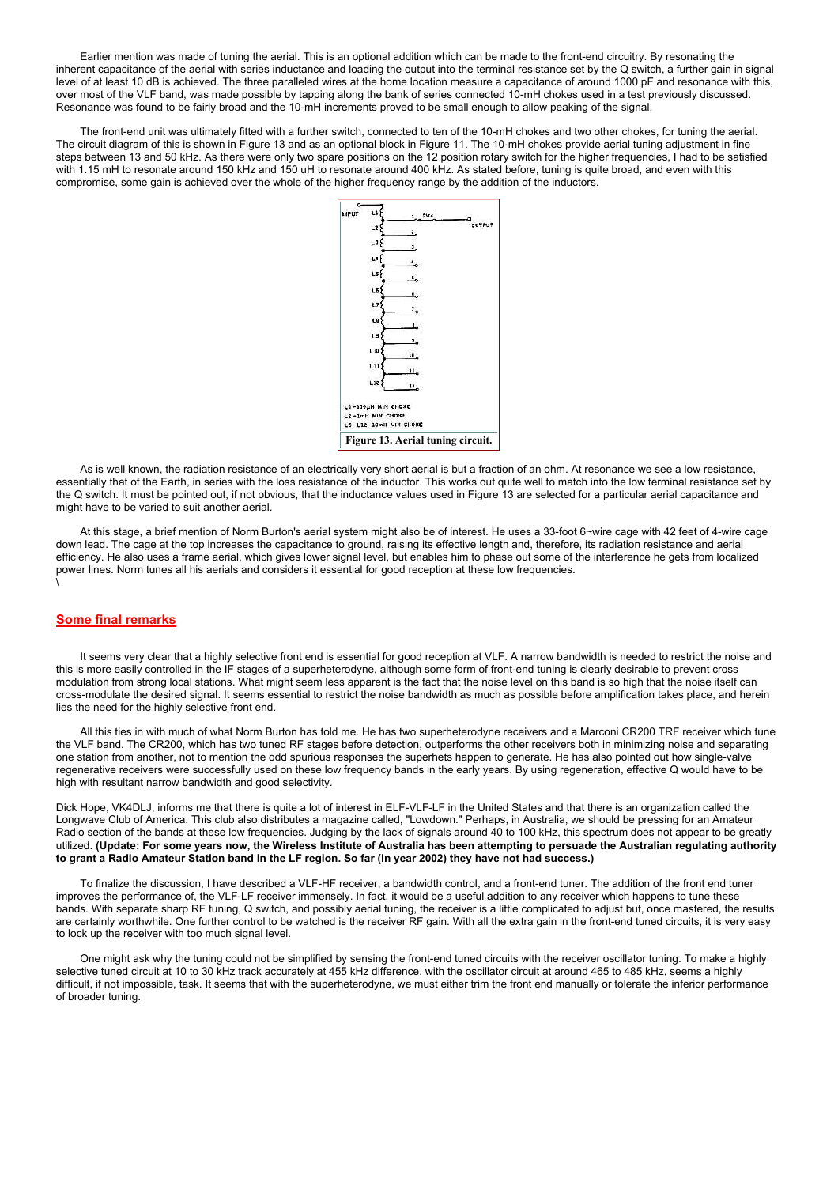Earlier mention was made of tuning the aerial. This is an optional addition which can be made to the front-end circuitry. By resonating the inherent capacitance of the aerial with series inductance and loading the output into the terminal resistance set by the Q switch, a further gain in signal level of at least 10 dB is achieved. The three paralleled wires at the home location measure a capacitance of around 1000 pF and resonance with this, over most of the VLF band, was made possible by tapping along the bank of series connected 10-mH chokes used in a test previously discussed. Resonance was found to be fairly broad and the 10-mH increments proved to be small enough to allow peaking of the signal.

 The front-end unit was ultimately fitted with a further switch, connected to ten of the 10-mH chokes and two other chokes, for tuning the aerial. The circuit diagram of this is shown in Figure 13 and as an optional block in Figure 11. The 10-mH chokes provide aerial tuning adjustment in fine steps between 13 and 50 kHz. As there were only two spare positions on the 12 position rotary switch for the higher frequencies, I had to be satisfied with 1.15 mH to resonate around 150 kHz and 150 uH to resonate around 400 kHz. As stated before, tuning is quite broad, and even with this compromise, some gain is achieved over the whole of the higher frequency range by the addition of the inductors.



 As is well known, the radiation resistance of an electrically very short aerial is but a fraction of an ohm. At resonance we see a low resistance, essentially that of the Earth, in series with the loss resistance of the inductor. This works out quite well to match into the low terminal resistance set by the Q switch. It must be pointed out, if not obvious, that the inductance values used in Figure 13 are selected for a particular aerial capacitance and might have to be varied to suit another aerial.

 At this stage, a brief mention of Norm Burton's aerial system might also be of interest. He uses a 33-foot 6~wire cage with 42 feet of 4-wire cage down lead. The cage at the top increases the capacitance to ground, raising its effective length and, therefore, its radiation resistance and aerial efficiency. He also uses a frame aerial, which gives lower signal level, but enables him to phase out some of the interference he gets from localized power lines. Norm tunes all his aerials and considers it essential for good reception at these low frequencies. \

#### Some final remarks

 It seems very clear that a highly selective front end is essential for good reception at VLF. A narrow bandwidth is needed to restrict the noise and this is more easily controlled in the IF stages of a superheterodyne, although some form of front-end tuning is clearly desirable to prevent cross modulation from strong local stations. What might seem less apparent is the fact that the noise level on this band is so high that the noise itself can cross-modulate the desired signal. It seems essential to restrict the noise bandwidth as much as possible before amplification takes place, and herein lies the need for the highly selective front end.

 All this ties in with much of what Norm Burton has told me. He has two superheterodyne receivers and a Marconi CR200 TRF receiver which tune the VLF band. The CR200, which has two tuned RF stages before detection, outperforms the other receivers both in minimizing noise and separating one station from another, not to mention the odd spurious responses the superhets happen to generate. He has also pointed out how single-valve regenerative receivers were successfully used on these low frequency bands in the early years. By using regeneration, effective Q would have to be high with resultant narrow bandwidth and good selectivity.

Dick Hope, VK4DLJ, informs me that there is quite a lot of interest in ELF-VLF-LF in the United States and that there is an organization called the Longwave Club of America. This club also distributes a magazine called, "Lowdown." Perhaps, in Australia, we should be pressing for an Amateur Radio section of the bands at these low frequencies. Judging by the lack of signals around 40 to 100 kHz, this spectrum does not appear to be greatly utilized. (Update: For some years now, the Wireless Institute of Australia has been attempting to persuade the Australian regulating authority to grant a Radio Amateur Station band in the LF region. So far (in year 2002) they have not had success.)

 To finalize the discussion, I have described a VLF-HF receiver, a bandwidth control, and a front-end tuner. The addition of the front end tuner improves the performance of, the VLF-LF receiver immensely. In fact, it would be a useful addition to any receiver which happens to tune these bands. With separate sharp RF tuning, Q switch, and possibly aerial tuning, the receiver is a little complicated to adjust but, once mastered, the results are certainly worthwhile. One further control to be watched is the receiver RF gain. With all the extra gain in the front-end tuned circuits, it is very easy to lock up the receiver with too much signal level.

 One might ask why the tuning could not be simplified by sensing the front-end tuned circuits with the receiver oscillator tuning. To make a highly selective tuned circuit at 10 to 30 kHz track accurately at 455 kHz difference, with the oscillator circuit at around 465 to 485 kHz, seems a highly difficult, if not impossible, task. It seems that with the superheterodyne, we must either trim the front end manually or tolerate the inferior performance of broader tuning.